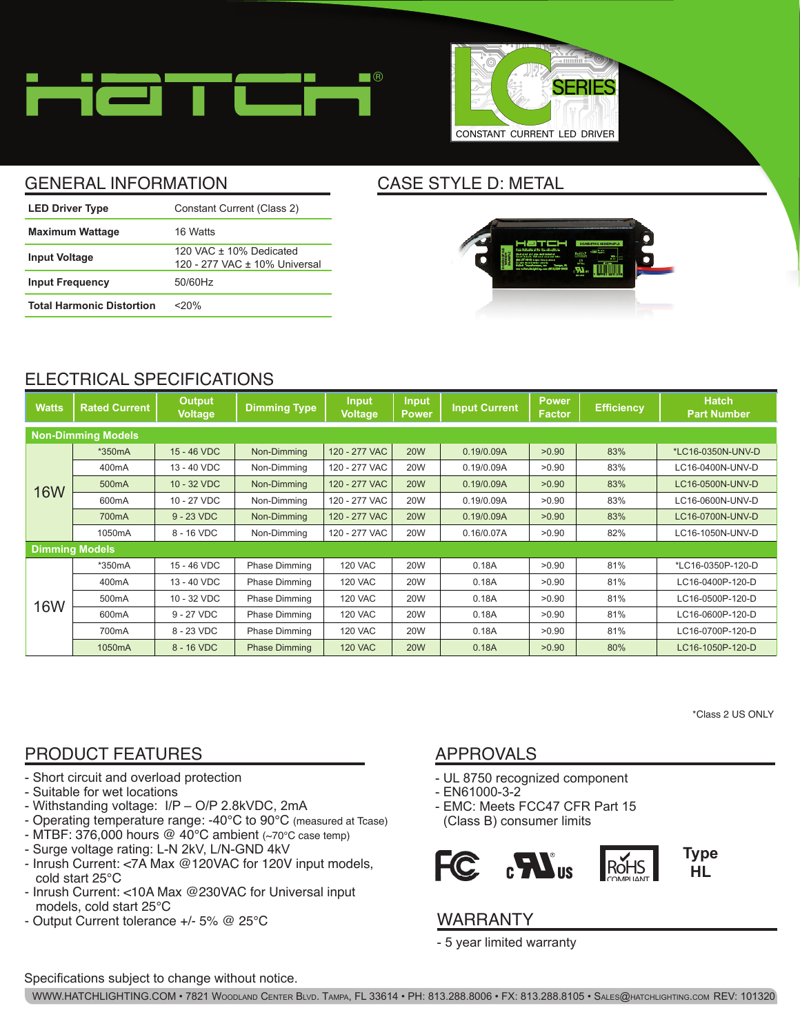



# GENERAL INFORMATION CASE STYLE D: METAL

| <b>LED Driver Type</b>           | Constant Current (Class 2)                                 |
|----------------------------------|------------------------------------------------------------|
| <b>Maximum Wattage</b>           | 16 Watts                                                   |
| <b>Input Voltage</b>             | 120 VAC $+$ 10% Dedicated<br>120 - 277 VAC ± 10% Universal |
| <b>Input Frequency</b>           | 50/60Hz                                                    |
| <b>Total Harmonic Distortion</b> | $<$ 20%                                                    |



# ELECTRICAL SPECIFICATIONS

| <b>Watts</b>              | <b>Rated Current</b> | <b>Output</b><br><b>Voltage</b> | <b>Dimming Type</b>  | <b>Input</b><br><b>Voltage</b> | <b>Input</b><br><b>Power</b> | <b>Input Current</b> | <b>Power</b><br><b>Factor</b> | <b>Efficiency</b> | <b>Hatch</b><br><b>Part Number</b> |
|---------------------------|----------------------|---------------------------------|----------------------|--------------------------------|------------------------------|----------------------|-------------------------------|-------------------|------------------------------------|
| <b>Non-Dimming Models</b> |                      |                                 |                      |                                |                              |                      |                               |                   |                                    |
| <b>16W</b>                | *350mA               | 15 - 46 VDC                     | Non-Dimming          | 120 - 277 VAC                  | <b>20W</b>                   | 0.19/0.09A           | >0.90                         | 83%               | *LC16-0350N-UNV-D                  |
|                           | 400mA                | 13 - 40 VDC                     | Non-Dimming          | 120 - 277 VAC                  | <b>20W</b>                   | 0.19/0.09A           | >0.90                         | 83%               | LC16-0400N-UNV-D                   |
|                           | 500mA                | 10 - 32 VDC                     | Non-Dimming          | 120 - 277 VAC                  | <b>20W</b>                   | 0.19/0.09A           | >0.90                         | 83%               | LC16-0500N-UNV-D                   |
|                           | 600mA                | 10 - 27 VDC                     | Non-Dimming          | 120 - 277 VAC                  | <b>20W</b>                   | 0.19/0.09A           | >0.90                         | 83%               | LC16-0600N-UNV-D                   |
|                           | 700 <sub>m</sub> A   | $9 - 23$ VDC                    | Non-Dimming          | 120 - 277 VAC                  | <b>20W</b>                   | 0.19/0.09A           | >0.90                         | 83%               | LC16-0700N-UNV-D                   |
|                           | 1050mA               | 8 - 16 VDC                      | Non-Dimming          | 120 - 277 VAC                  | <b>20W</b>                   | 0.16/0.07A           | >0.90                         | 82%               | LC16-1050N-UNV-D                   |
| <b>Dimming Models</b>     |                      |                                 |                      |                                |                              |                      |                               |                   |                                    |
| <b>16W</b>                | *350mA               | 15 - 46 VDC                     | <b>Phase Dimming</b> | <b>120 VAC</b>                 | <b>20W</b>                   | 0.18A                | >0.90                         | 81%               | *LC16-0350P-120-D                  |
|                           | 400 <sub>m</sub> A   | 13 - 40 VDC                     | <b>Phase Dimming</b> | <b>120 VAC</b>                 | <b>20W</b>                   | 0.18A                | >0.90                         | 81%               | LC16-0400P-120-D                   |
|                           | 500mA                | 10 - 32 VDC                     | <b>Phase Dimming</b> | <b>120 VAC</b>                 | <b>20W</b>                   | 0.18A                | >0.90                         | 81%               | LC16-0500P-120-D                   |
|                           | 600 <sub>m</sub> A   | 9 - 27 VDC                      | <b>Phase Dimming</b> | <b>120 VAC</b>                 | <b>20W</b>                   | 0.18A                | >0.90                         | 81%               | LC16-0600P-120-D                   |
|                           | 700mA                | 8 - 23 VDC                      | <b>Phase Dimming</b> | <b>120 VAC</b>                 | <b>20W</b>                   | 0.18A                | >0.90                         | 81%               | LC16-0700P-120-D                   |
|                           | 1050mA               | 8 - 16 VDC                      | <b>Phase Dimming</b> | <b>120 VAC</b>                 | <b>20W</b>                   | 0.18A                | >0.90                         | 80%               | LC16-1050P-120-D                   |

\*Class 2 US ONLY

# PRODUCT FEATURES APPROVALS

- Short circuit and overload protection
- Suitable for wet locations
- Withstanding voltage: I/P O/P 2.8kVDC, 2mA
- Operating temperature range: -40°C to 90°C (measured at Tcase)
- MTBF: 376,000 hours  $@$  40°C ambient (~70°C case temp)
- Surge voltage rating: L-N 2kV, L/N-GND 4kV
- Inrush Current: <7A Max @120VAC for 120V input models, cold start 25°C
- Inrush Current: <10A Max @230VAC for Universal input models, cold start 25°C
- Output Current tolerance +/- 5% @ 25°C

- UL 8750 recognized component
- EN61000-3-2
- EMC: Meets FCC47 CFR Part 15 (Class B) consumer limits



### WARRANTY

- 5 year limited warranty

#### Specifications subject to change without notice.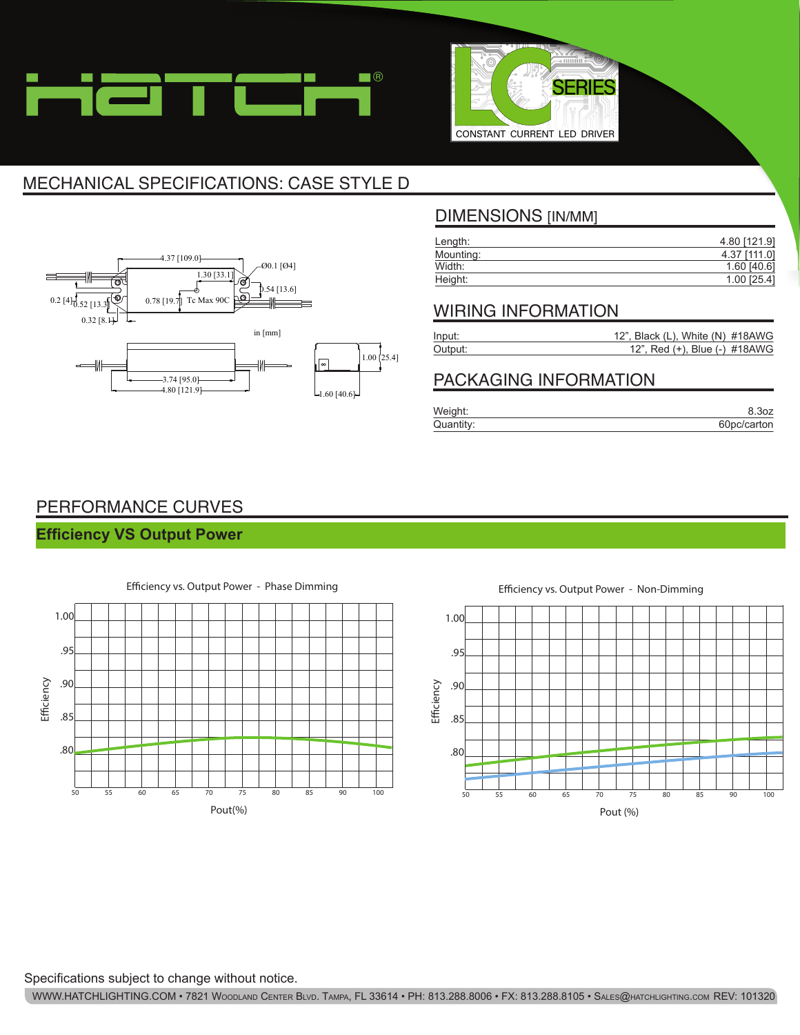



# MECHANICAL SPECIFICATIONS: CASE STYLE D



### DIMENSIONS [IN/MM]

| Length:   | 4.80 [121.9]  |
|-----------|---------------|
| Mounting: | 4.37 [111.0]  |
| Width:    | $1.60$ [40.6] |
| Height:   | $1.00$ [25.4] |

#### WIRING INFORMATION

| Input:  | 12", Black (L), White (N) $\#18AWG$ |
|---------|-------------------------------------|
| Output: | 12", Red (+), Blue (-) #18AWG       |

### PACKAGING INFORMATION

| Weight:   | 8.30Z       |
|-----------|-------------|
| Quantity: | 60pc/carton |

## PERFORMANCE CURVES

#### **Efficiency VS Output Power**



Efficiency vs. Output Power - Non-Dimming



Specifications subject to change without notice.

WWW.HATCHLIGHTING.COM • 7821 Woodland Center Blvd. Tampa, FL 33614 • PH: 813.288.8006 • FX: 813.288.8105 • Sales@hatchlighting.com REV: 101320